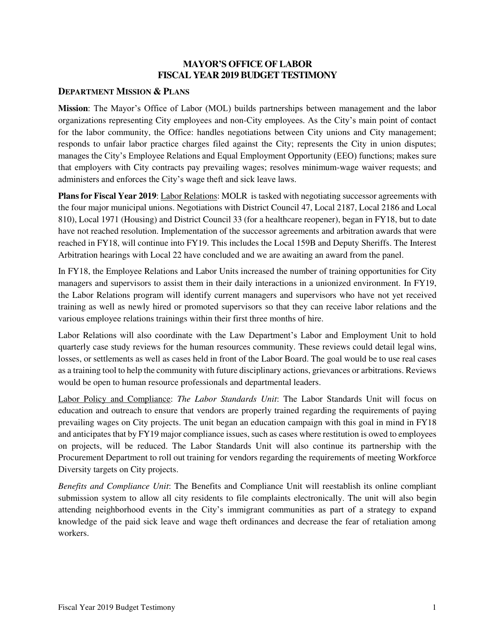## **MAYOR'S OFFICE OF LABOR FISCAL YEAR 2019 BUDGET TESTIMONY**

### **DEPARTMENT MISSION & PLANS**

**Mission**: The Mayor's Office of Labor (MOL) builds partnerships between management and the labor organizations representing City employees and non-City employees. As the City's main point of contact for the labor community, the Office: handles negotiations between City unions and City management; responds to unfair labor practice charges filed against the City; represents the City in union disputes; manages the City's Employee Relations and Equal Employment Opportunity (EEO) functions; makes sure that employers with City contracts pay prevailing wages; resolves minimum-wage waiver requests; and administers and enforces the City's wage theft and sick leave laws.

**Plans for Fiscal Year 2019**: Labor Relations: MOLR is tasked with negotiating successor agreements with the four major municipal unions. Negotiations with District Council 47, Local 2187, Local 2186 and Local 810), Local 1971 (Housing) and District Council 33 (for a healthcare reopener), began in FY18, but to date have not reached resolution. Implementation of the successor agreements and arbitration awards that were reached in FY18, will continue into FY19. This includes the Local 159B and Deputy Sheriffs. The Interest Arbitration hearings with Local 22 have concluded and we are awaiting an award from the panel.

In FY18, the Employee Relations and Labor Units increased the number of training opportunities for City managers and supervisors to assist them in their daily interactions in a unionized environment. In FY19, the Labor Relations program will identify current managers and supervisors who have not yet received training as well as newly hired or promoted supervisors so that they can receive labor relations and the various employee relations trainings within their first three months of hire.

Labor Relations will also coordinate with the Law Department's Labor and Employment Unit to hold quarterly case study reviews for the human resources community. These reviews could detail legal wins, losses, or settlements as well as cases held in front of the Labor Board. The goal would be to use real cases as a training tool to help the community with future disciplinary actions, grievances or arbitrations. Reviews would be open to human resource professionals and departmental leaders.

Labor Policy and Compliance: *The Labor Standards Unit*: The Labor Standards Unit will focus on education and outreach to ensure that vendors are properly trained regarding the requirements of paying prevailing wages on City projects. The unit began an education campaign with this goal in mind in FY18 and anticipates that by FY19 major compliance issues, such as cases where restitution is owed to employees on projects, will be reduced. The Labor Standards Unit will also continue its partnership with the Procurement Department to roll out training for vendors regarding the requirements of meeting Workforce Diversity targets on City projects.

*Benefits and Compliance Unit*: The Benefits and Compliance Unit will reestablish its online compliant submission system to allow all city residents to file complaints electronically. The unit will also begin attending neighborhood events in the City's immigrant communities as part of a strategy to expand knowledge of the paid sick leave and wage theft ordinances and decrease the fear of retaliation among workers.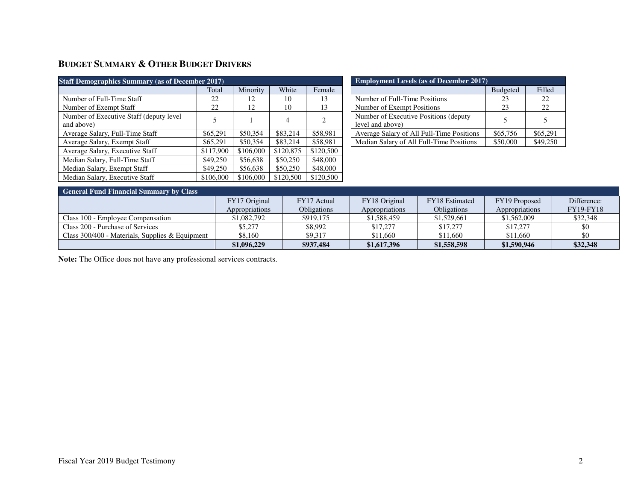# **BUDGET SUMMARY & OTHER BUDGET DRIVERS**

| <b>Staff Demographics Summary (as of December 2017)</b> |           |           |           |                |  |  |
|---------------------------------------------------------|-----------|-----------|-----------|----------------|--|--|
|                                                         | Total     | Minority  | White     | Female         |  |  |
| Number of Full-Time Staff                               | 22.       | 12        | 10        | 13             |  |  |
| Number of Exempt Staff                                  | 22        | 12        | 10        | 13             |  |  |
| Number of Executive Staff (deputy level)<br>and above)  | 5         |           | 4         | $\overline{c}$ |  |  |
| Average Salary, Full-Time Staff                         | \$65,291  | \$50,354  | \$83,214  | \$58,981       |  |  |
| Average Salary, Exempt Staff                            | \$65,291  | \$50,354  | \$83,214  | \$58,981       |  |  |
| Average Salary, Executive Staff                         | \$117,900 | \$106,000 | \$120,875 | \$120,500      |  |  |
| Median Salary, Full-Time Staff                          | \$49,250  | \$56,638  | \$50,250  | \$48,000       |  |  |
| Median Salary, Exempt Staff                             | \$49,250  | \$56,638  | \$50,250  | \$48,000       |  |  |
| Median Salary, Executive Staff                          | \$106,000 | \$106,000 | \$120,500 | \$120,500      |  |  |

| <b>Employment Levels (as of December 2017)</b>             |                 |          |  |  |
|------------------------------------------------------------|-----------------|----------|--|--|
|                                                            | <b>Budgeted</b> | Filled   |  |  |
| Number of Full-Time Positions                              | 23              | 22       |  |  |
| Number of Exempt Positions                                 | 23              | 22.      |  |  |
| Number of Executive Positions (deputy)<br>level and above) |                 |          |  |  |
| Average Salary of All Full-Time Positions                  | \$65,756        | \$65,291 |  |  |
| Median Salary of All Full-Time Positions                   | \$50,000        | \$49,250 |  |  |

| <b>General Fund Financial Summary by Class</b>  |                |                    |                |                    |                |                  |  |
|-------------------------------------------------|----------------|--------------------|----------------|--------------------|----------------|------------------|--|
|                                                 | FY17 Original  | FY17 Actual        | FY18 Original  | FY18 Estimated     | FY19 Proposed  | Difference:      |  |
|                                                 | Appropriations | <b>Obligations</b> | Appropriations | <b>Obligations</b> | Appropriations | <b>FY19-FY18</b> |  |
| Class 100 - Employee Compensation               | \$1,082,792    | \$919,175          | \$1,588,459    | \$1,529,661        | \$1,562,009    | \$32,348         |  |
| Class 200 - Purchase of Services                | \$5,277        | \$8,992            | \$17,277       | \$17,277           | \$17,277       | \$0              |  |
| Class 300/400 - Materials, Supplies & Equipment | \$8,160        | \$9.317            | \$11,660       | \$11,660           | \$11,660       | \$0              |  |
|                                                 | \$1,096,229    | \$937,484          | \$1,617,396    | \$1,558,598        | \$1,590,946    | \$32,348         |  |

**Note:** The Office does not have any professional services contracts.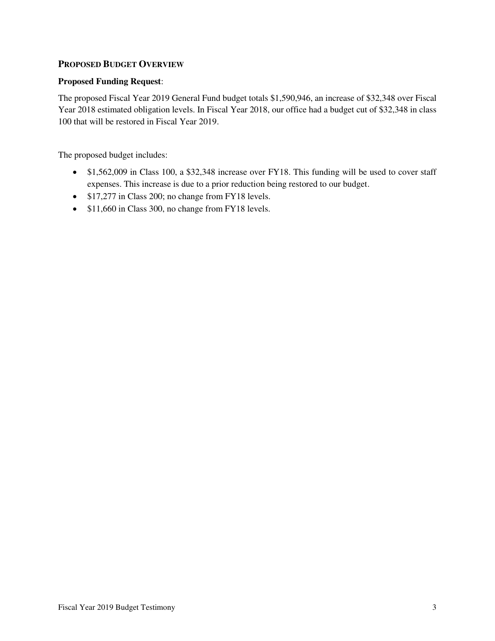## **PROPOSED BUDGET OVERVIEW**

### **Proposed Funding Request**:

The proposed Fiscal Year 2019 General Fund budget totals \$1,590,946, an increase of \$32,348 over Fiscal Year 2018 estimated obligation levels. In Fiscal Year 2018, our office had a budget cut of \$32,348 in class 100 that will be restored in Fiscal Year 2019.

The proposed budget includes:

- \$1,562,009 in Class 100, a \$32,348 increase over FY18. This funding will be used to cover staff expenses. This increase is due to a prior reduction being restored to our budget.
- \$17,277 in Class 200; no change from FY18 levels.
- \$11,660 in Class 300, no change from FY18 levels.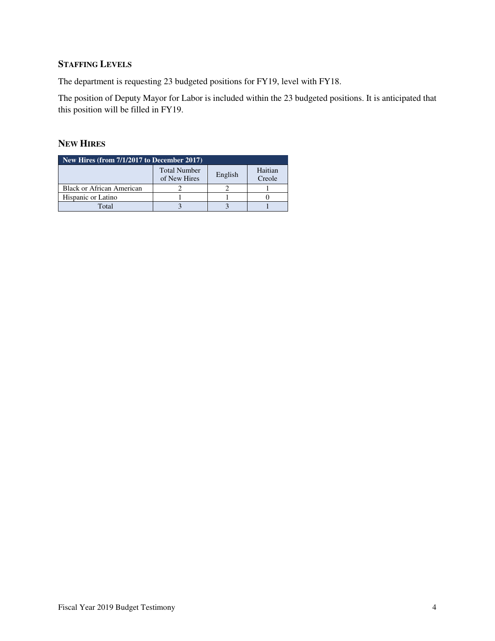# **STAFFING LEVELS**

The department is requesting 23 budgeted positions for FY19, level with FY18.

The position of Deputy Mayor for Labor is included within the 23 budgeted positions. It is anticipated that this position will be filled in FY19.

## **NEW HIRES**

| New Hires (from 7/1/2017 to December 2017) |                                     |                   |  |  |  |
|--------------------------------------------|-------------------------------------|-------------------|--|--|--|
|                                            | <b>Total Number</b><br>of New Hires | Haitian<br>Creole |  |  |  |
| <b>Black or African American</b>           |                                     |                   |  |  |  |
| Hispanic or Latino                         |                                     |                   |  |  |  |
| Total                                      |                                     |                   |  |  |  |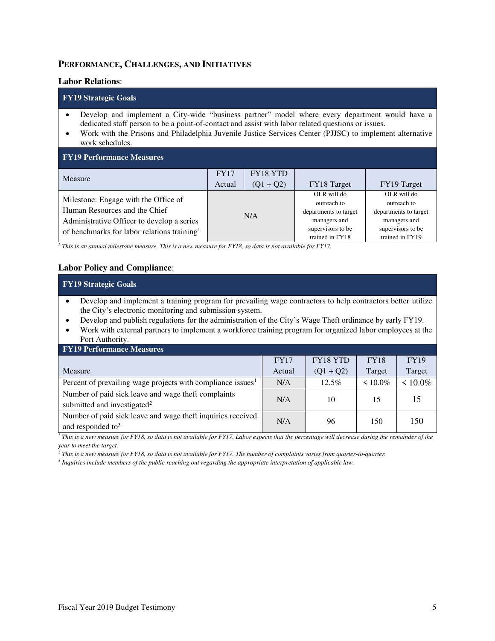### **PERFORMANCE, CHALLENGES, AND INITIATIVES**

#### **Labor Relations**:

#### **FY19 Strategic Goals**

- Develop and implement a City-wide "business partner" model where every department would have a dedicated staff person to be a point-of-contact and assist with labor related questions or issues.
- Work with the Prisons and Philadelphia Juvenile Justice Services Center (PJJSC) to implement alternative work schedules.

| <b>FY19 Performance Measures</b>                        |             |                 |                       |                       |  |  |
|---------------------------------------------------------|-------------|-----------------|-----------------------|-----------------------|--|--|
| Measure                                                 | <b>FY17</b> | <b>FY18 YTD</b> |                       |                       |  |  |
|                                                         | Actual      | $(Q1 + Q2)$     | FY18 Target           | FY19 Target           |  |  |
| Milestone: Engage with the Office of                    |             |                 | OLR will do           | OLR will do           |  |  |
|                                                         |             |                 | outreach to           | outreach to           |  |  |
| Human Resources and the Chief                           | N/A         |                 | departments to target | departments to target |  |  |
| Administrative Officer to develop a series              |             |                 | managers and          | managers and          |  |  |
| of benchmarks for labor relations training <sup>1</sup> |             |                 | supervisors to be     | supervisors to be     |  |  |
|                                                         |             |                 | trained in FY18       | trained in FY19       |  |  |

*1 This is an annual milestone measure. This is a new measure for FY18, so data is not available for FY17.*

### **Labor Policy and Compliance**:

| <b>FY19 Strategic Goals</b>                                                                                                                                                                                                                                                                                                                                                                                         |             |             |             |               |  |  |
|---------------------------------------------------------------------------------------------------------------------------------------------------------------------------------------------------------------------------------------------------------------------------------------------------------------------------------------------------------------------------------------------------------------------|-------------|-------------|-------------|---------------|--|--|
| Develop and implement a training program for prevailing wage contractors to help contractors better utilize<br>the City's electronic monitoring and submission system.<br>Develop and publish regulations for the administration of the City's Wage Theft ordinance by early FY19.<br>Work with external partners to implement a workforce training program for organized labor employees at the<br>Port Authority. |             |             |             |               |  |  |
| <b>FY19 Performance Measures</b>                                                                                                                                                                                                                                                                                                                                                                                    |             |             |             |               |  |  |
|                                                                                                                                                                                                                                                                                                                                                                                                                     | <b>FY17</b> | FY18 YTD    | <b>FY18</b> | <b>FY19</b>   |  |  |
| Measure                                                                                                                                                                                                                                                                                                                                                                                                             | Actual      | $(Q1 + Q2)$ | Target      | Target        |  |  |
| Percent of prevailing wage projects with compliance issues <sup>1</sup>                                                                                                                                                                                                                                                                                                                                             | N/A         | $12.5\%$    | $< 10.0\%$  | $\leq 10.0\%$ |  |  |
| Number of paid sick leave and wage theft complaints<br>submitted and investigated <sup>2</sup>                                                                                                                                                                                                                                                                                                                      | N/A         | 10          | 15          | 15            |  |  |
| Number of paid sick leave and wage theft inquiries received<br>and responded to <sup>3</sup>                                                                                                                                                                                                                                                                                                                        | N/A         | 96          | 150         | 150           |  |  |

<sup>1</sup> This is a new measure for FY18, so data is not available for FY17. Labor expects that the percentage will decrease during the remainder of the *year to meet the target.* 

*2 This is a new measure for FY18, so data is not available for FY17. The number of complaints varies from quarter-to-quarter.* 

*3 Inquiries include members of the public reaching out regarding the appropriate interpretation of applicable law.*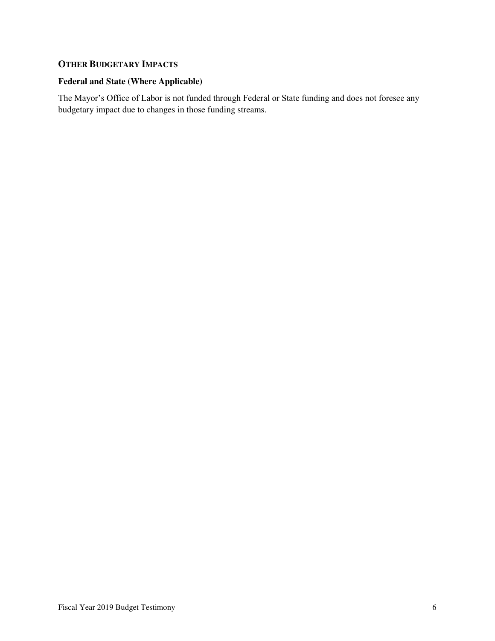## **OTHER BUDGETARY IMPACTS**

## **Federal and State (Where Applicable)**

The Mayor's Office of Labor is not funded through Federal or State funding and does not foresee any budgetary impact due to changes in those funding streams.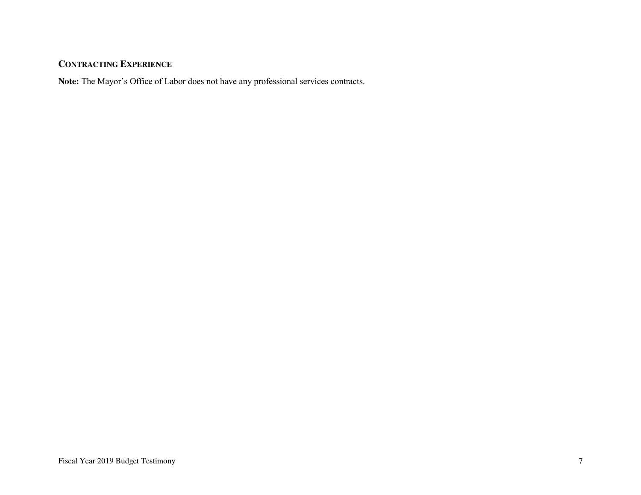# **CONTRACTING EXPERIENCE**

**Note:** The Mayor's Office of Labor does not have any professional services contracts.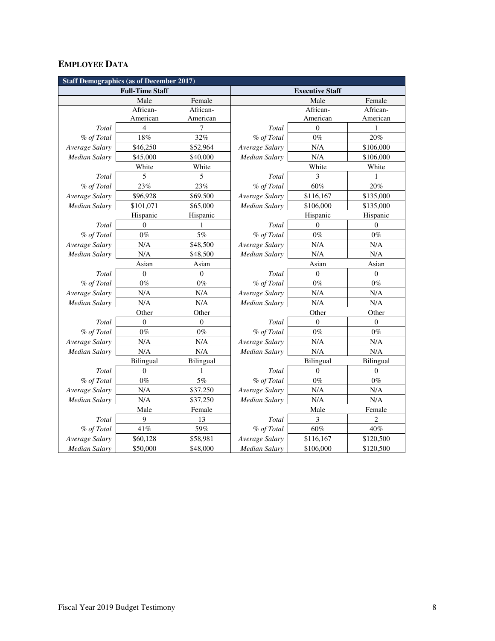# **EMPLOYEE DATA**

| <b>Staff Demographics (as of December 2017)</b> |                  |                  |                        |                  |                  |  |
|-------------------------------------------------|------------------|------------------|------------------------|------------------|------------------|--|
| <b>Full-Time Staff</b>                          |                  |                  | <b>Executive Staff</b> |                  |                  |  |
|                                                 | Male             | Female           |                        | Male             | Female           |  |
|                                                 | African-         | African-         |                        | African-         | African-         |  |
|                                                 | American         | American         |                        | American         | American         |  |
| Total                                           | $\overline{4}$   | 7                | Total                  | $\mathbf{0}$     | 1                |  |
| % of Total                                      | 18%              | 32%              | % of Total             | $0\%$            | 20%              |  |
| Average Salary                                  | \$46,250         | \$52,964         | Average Salary         | N/A              | \$106,000        |  |
| <b>Median Salary</b>                            | \$45,000         | \$40,000         | <b>Median Salary</b>   | N/A              | \$106,000        |  |
|                                                 | White            | White            |                        | White            | White            |  |
| Total                                           | 5                | 5                | Total                  | 3                | 1                |  |
| % of Total                                      | 23%              | 23%              | % of Total             | 60%              | 20%              |  |
| Average Salary                                  | \$96,928         | \$69,500         | Average Salary         | \$116,167        | \$135,000        |  |
| Median Salary                                   | \$101,071        | \$65,000         | Median Salary          | \$106,000        | \$135,000        |  |
|                                                 | Hispanic         | Hispanic         |                        | Hispanic         | Hispanic         |  |
| Total                                           | $\theta$         | 1                | Total                  | $\Omega$         | $\theta$         |  |
| % of Total                                      | $0\%$            | 5%               | % of Total             | $0\%$            | $0\%$            |  |
| Average Salary                                  | N/A              | \$48,500         | Average Salary         | N/A              | N/A              |  |
| <b>Median Salary</b>                            | N/A              | \$48,500         | Median Salary          | N/A              | N/A              |  |
|                                                 | Asian            | Asian            |                        | Asian            | Asian            |  |
| Total                                           | $\boldsymbol{0}$ | $\boldsymbol{0}$ | Total                  | $\mathbf{0}$     | $\boldsymbol{0}$ |  |
| % of Total                                      | $0\%$            | $0\%$            | % of Total             | $0\%$            | $0\%$            |  |
| Average Salary                                  | N/A              | N/A              | Average Salary         | N/A              | $\rm N/A$        |  |
| <b>Median Salary</b>                            | N/A              | N/A              | <b>Median Salary</b>   | N/A              | N/A              |  |
|                                                 | Other            | Other            |                        | Other            | Other            |  |
| Total                                           | $\theta$         | $\theta$         | Total                  | $\Omega$         | $\mathbf{0}$     |  |
| % of Total                                      | $0\%$            | $0\%$            | % of Total             | $0\%$            | $0\%$            |  |
| Average Salary                                  | N/A              | N/A              | Average Salary         | N/A              | N/A              |  |
| Median Salary                                   | N/A              | N/A              | Median Salary          | N/A              | N/A              |  |
|                                                 | <b>Bilingual</b> | <b>Bilingual</b> |                        | <b>Bilingual</b> | <b>Bilingual</b> |  |
| Total                                           | $\boldsymbol{0}$ | 1                | Total                  | $\boldsymbol{0}$ | $\boldsymbol{0}$ |  |
| % of Total                                      | $0\%$            | $5\%$            | % of Total             | $0\%$            | $0\%$            |  |
| Average Salary                                  | N/A              | \$37,250         | Average Salary         | N/A              | N/A              |  |
| <b>Median Salary</b>                            | N/A              | \$37,250         | Median Salary          | N/A              | N/A              |  |
|                                                 | Male             | Female           |                        | Male             | Female           |  |
| Total                                           | 9                | 13               | Total                  | 3                | $\overline{2}$   |  |
| % of Total                                      | 41%              | 59%              | % of Total             | 60%              | 40%              |  |
| Average Salary                                  | \$60,128         | \$58,981         | Average Salary         | \$116,167        | \$120,500        |  |
| <b>Median Salary</b>                            | \$50,000         | \$48,000         | <b>Median Salary</b>   | \$106,000        | \$120,500        |  |